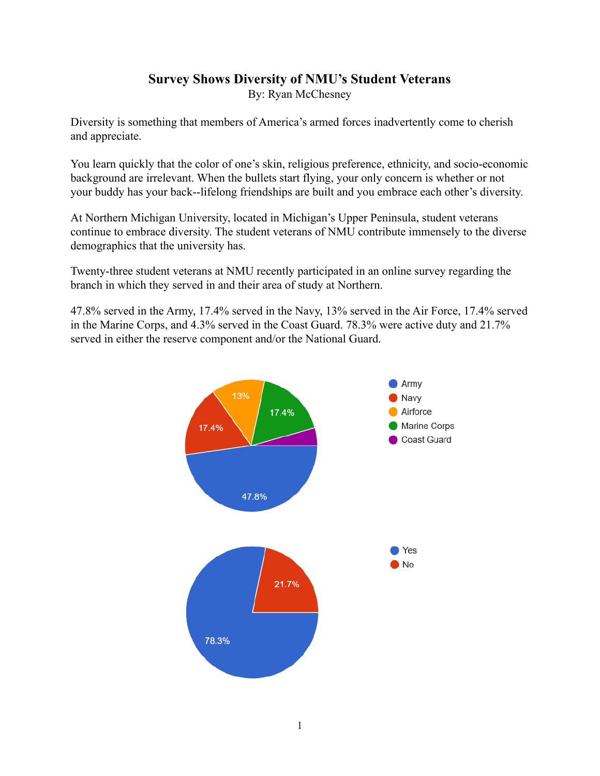## **Survey Shows Diversity of NMU's Student Veterans** By: Ryan McChesney

Diversity is something that members of America's armed forces inadvertently come to cherish and appreciate.

You learn quickly that the color of one's skin, religious preference, ethnicity, and socio-economic background are irrelevant. When the bullets start flying, your only concern is whether or not your buddy has your back--lifelong friendships are built and you embrace each other's diversity.

At Northern Michigan University, located in Michigan's Upper Peninsula, student veterans continue to embrace diversity. The student veterans of NMU contribute immensely to the diverse demographics that the university has.

Twenty-three student veterans at NMU recently participated in an online survey regarding the branch in which they served in and their area of study at Northern.

47.8% served in the Army, 17.4% served in the Navy, 13% served in the Air Force, 17.4% served in the Marine Corps, and 4.3% served in the Coast Guard. 78.3% were active duty and 21.7% served in either the reserve component and/or the National Guard.

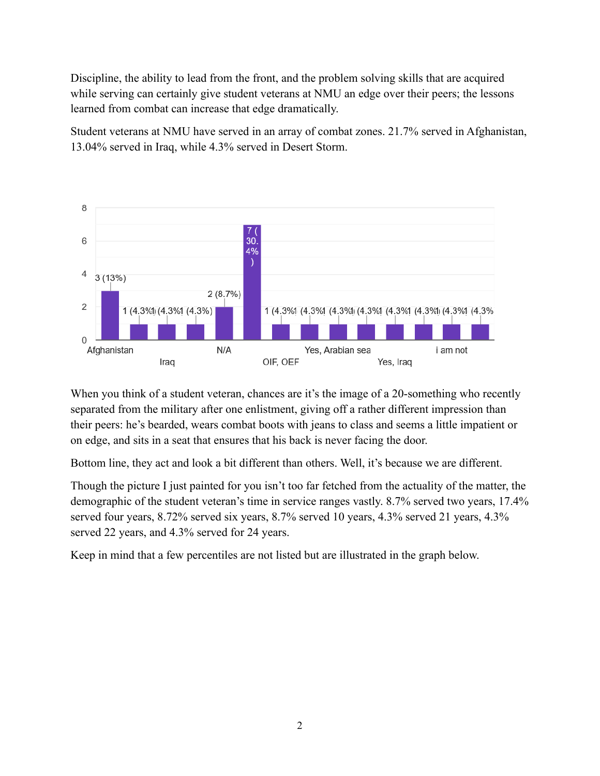Discipline, the ability to lead from the front, and the problem solving skills that are acquired while serving can certainly give student veterans at NMU an edge over their peers; the lessons learned from combat can increase that edge dramatically.

Student veterans at NMU have served in an array of combat zones. 21.7% served in Afghanistan, 13.04% served in Iraq, while 4.3% served in Desert Storm.



When you think of a student veteran, chances are it's the image of a 20-something who recently separated from the military after one enlistment, giving off a rather different impression than their peers: he's bearded, wears combat boots with jeans to class and seems a little impatient or on edge, and sits in a seat that ensures that his back is never facing the door.

Bottom line, they act and look a bit different than others. Well, it's because we are different.

Though the picture I just painted for you isn't too far fetched from the actuality of the matter, the demographic of the student veteran's time in service ranges vastly. 8.7% served two years, 17.4% served four years, 8.72% served six years, 8.7% served 10 years, 4.3% served 21 years, 4.3% served 22 years, and 4.3% served for 24 years.

Keep in mind that a few percentiles are not listed but are illustrated in the graph below.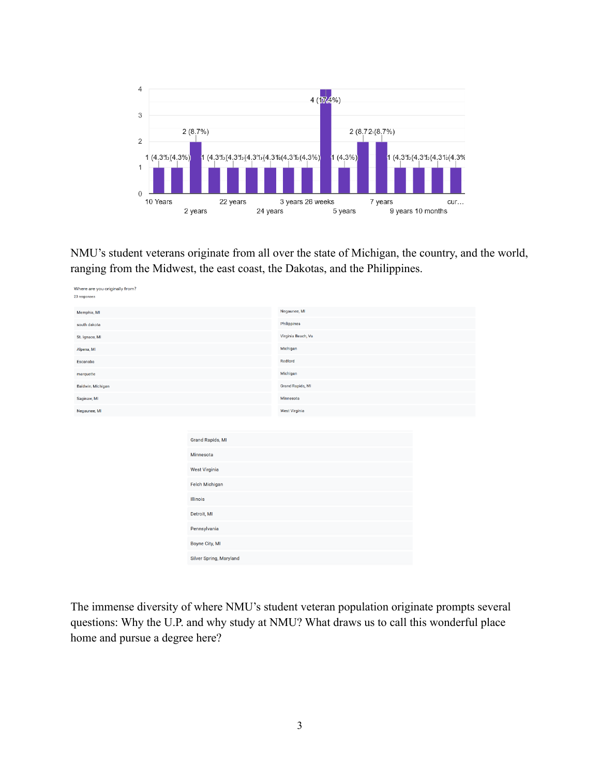

NMU's student veterans originate from all over the state of Michigan, the country, and the world, ranging from the Midwest, the east coast, the Dakotas, and the Philippines.

| Where are you originally from?<br>23 responses |                                                                                                           |                      |  |
|------------------------------------------------|-----------------------------------------------------------------------------------------------------------|----------------------|--|
| Memphis, MI                                    |                                                                                                           | Negaunee, MI         |  |
| south dakota                                   |                                                                                                           | Philippines          |  |
| St. Ignace, MI                                 |                                                                                                           | Virginia Beach, Va   |  |
| Alpena, MI                                     |                                                                                                           | Michigan             |  |
| Escanaba                                       |                                                                                                           | Redford              |  |
| marquette                                      |                                                                                                           | Michigan             |  |
| Baldwin, Michigan                              |                                                                                                           | Grand Rapids, MI     |  |
| Saginaw, MI                                    |                                                                                                           | Minnesota            |  |
| Negaunee, MI                                   |                                                                                                           | <b>West Virginia</b> |  |
|                                                | <b>Grand Rapids, MI</b><br>Minnesota<br><b>West Virginia</b><br>Felch Michigan<br>Illinois<br>Detroit, MI |                      |  |
|                                                | Pennsylvania<br>Boyne City, MI                                                                            |                      |  |
|                                                |                                                                                                           |                      |  |
|                                                | Silver Spring, Maryland                                                                                   |                      |  |

The immense diversity of where NMU's student veteran population originate prompts several questions: Why the U.P. and why study at NMU? What draws us to call this wonderful place home and pursue a degree here?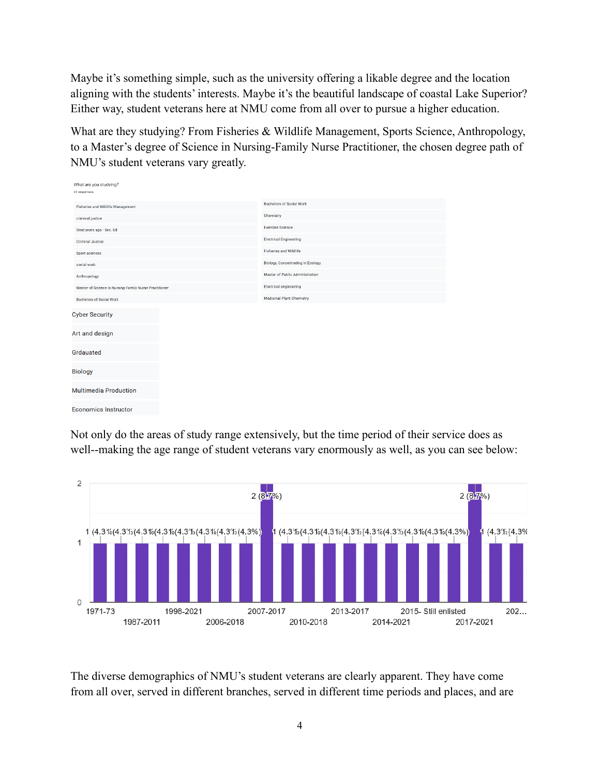Maybe it's something simple, such as the university offering a likable degree and the location aligning with the students' interests. Maybe it's the beautiful landscape of coastal Lake Superior? Either way, student veterans here at NMU come from all over to pursue a higher education.

What are they studying? From Fisheries & Wildlife Management, Sports Science, Anthropology, to a Master's degree of Science in Nursing-Family Nurse Practitioner, the chosen degree path of NMU's student veterans vary greatly.

| What are you studying?                                 |                                          |
|--------------------------------------------------------|------------------------------------------|
| 23 responses                                           |                                          |
| <b>Fisheries and Wildlife Management</b>               | <b>Bachelors of Social Work</b>          |
| criminal justice                                       | Chemistry                                |
| Grad years ago - Sec. Ed                               | <b>Exercise Science</b>                  |
| <b>Criminal Justice</b>                                | <b>Electrical Engineering</b>            |
| Sport sciences                                         | <b>Fisheries and Wildlife</b>            |
| social work                                            | <b>Biology, Concentrating in Ecology</b> |
| Anthropology                                           | Master of Public Administration          |
| Master of Science in Nursing-Family Nurse Practitioner | <b>Electrical engineering</b>            |
| <b>Bachelors of Social Work</b>                        | <b>Medicinal Plant Chemistry</b>         |
| <b>Cyber Security</b>                                  |                                          |
| Art and design                                         |                                          |
| Grdauated                                              |                                          |
| <b>Biology</b>                                         |                                          |
| <b>Multimedia Production</b>                           |                                          |
| <b>Economics Instructor</b>                            |                                          |

Not only do the areas of study range extensively, but the time period of their service does as well--making the age range of student veterans vary enormously as well, as you can see below:



The diverse demographics of NMU's student veterans are clearly apparent. They have come from all over, served in different branches, served in different time periods and places, and are